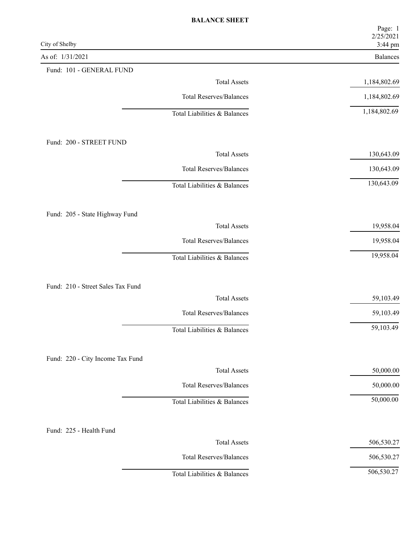| City of Shelby                    | Page: 1<br>2/25/2021<br>3:44 pm |
|-----------------------------------|---------------------------------|
| As of: 1/31/2021                  | Balances                        |
| Fund: 101 - GENERAL FUND          |                                 |
| <b>Total Assets</b>               | 1,184,802.69                    |
| <b>Total Reserves/Balances</b>    | 1,184,802.69                    |
| Total Liabilities & Balances      | 1,184,802.69                    |
| Fund: 200 - STREET FUND           |                                 |
| <b>Total Assets</b>               | 130,643.09                      |
| <b>Total Reserves/Balances</b>    | 130,643.09                      |
| Total Liabilities & Balances      | 130,643.09                      |
| Fund: 205 - State Highway Fund    |                                 |
| <b>Total Assets</b>               | 19,958.04                       |
| <b>Total Reserves/Balances</b>    | 19,958.04                       |
| Total Liabilities & Balances      | 19,958.04                       |
| Fund: 210 - Street Sales Tax Fund |                                 |
| <b>Total Assets</b>               | 59,103.49                       |
| <b>Total Reserves/Balances</b>    | 59,103.49                       |
| Total Liabilities & Balances      | 59,103.49                       |
| Fund: 220 - City Income Tax Fund  |                                 |
| <b>Total Assets</b>               | 50,000.00                       |
| <b>Total Reserves/Balances</b>    | 50,000.00                       |
| Total Liabilities & Balances      | 50,000.00                       |
| Fund: 225 - Health Fund           |                                 |
| <b>Total Assets</b>               | 506,530.27                      |
| <b>Total Reserves/Balances</b>    | 506,530.27                      |
| Total Liabilities & Balances      | 506,530.27                      |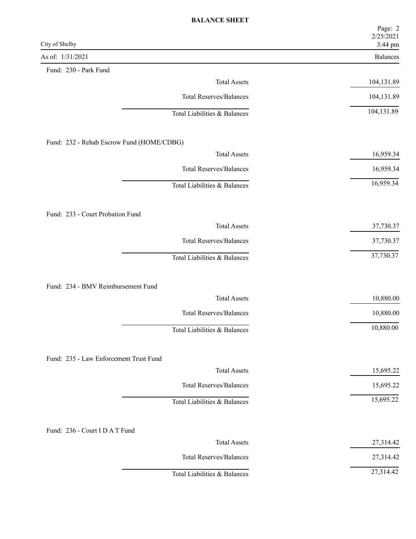|                                                               | Page: 2<br>2/25/2021 |
|---------------------------------------------------------------|----------------------|
| City of Shelby                                                | 3:44 pm              |
| As of: 1/31/2021<br>Fund: 230 - Park Fund                     | <b>Balances</b>      |
| <b>Total Assets</b>                                           | 104,131.89           |
| <b>Total Reserves/Balances</b>                                | 104,131.89           |
|                                                               |                      |
| Total Liabilities & Balances                                  | 104,131.89           |
| Fund: 232 - Rehab Escrow Fund (HOME/CDBG)                     |                      |
| <b>Total Assets</b>                                           | 16,959.34            |
| <b>Total Reserves/Balances</b>                                | 16,959.34            |
| Total Liabilities & Balances                                  | 16,959.34            |
|                                                               |                      |
| Fund: 233 - Court Probation Fund<br><b>Total Assets</b>       | 37,730.37            |
| <b>Total Reserves/Balances</b>                                | 37,730.37            |
| Total Liabilities & Balances                                  | 37,730.37            |
|                                                               |                      |
| Fund: 234 - BMV Reimbursement Fund                            |                      |
| <b>Total Assets</b>                                           | 10,880.00            |
| <b>Total Reserves/Balances</b>                                | 10,880.00            |
| Total Liabilities & Balances                                  | 10,880.00            |
|                                                               |                      |
| Fund: 235 - Law Enforcement Trust Fund<br><b>Total Assets</b> | 15,695.22            |
| <b>Total Reserves/Balances</b>                                | 15,695.22            |
| Total Liabilities & Balances                                  | 15,695.22            |
|                                                               |                      |
| Fund: 236 - Court I D A T Fund                                |                      |
| <b>Total Assets</b>                                           | 27,314.42            |
| <b>Total Reserves/Balances</b>                                | 27,314.42            |
| Total Liabilities & Balances                                  | 27,314.42            |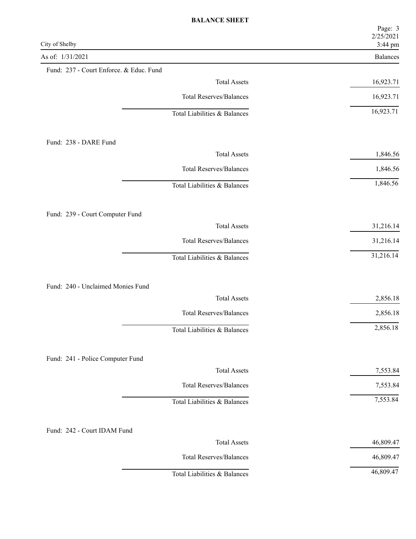| City of Shelby                          | Page: 3<br>2/25/2021<br>3:44 pm |
|-----------------------------------------|---------------------------------|
| As of: 1/31/2021                        | Balances                        |
| Fund: 237 - Court Enforce. & Educ. Fund |                                 |
| <b>Total Assets</b>                     | 16,923.71                       |
| <b>Total Reserves/Balances</b>          | 16,923.71                       |
| Total Liabilities & Balances            | 16,923.71                       |
| Fund: 238 - DARE Fund                   |                                 |
| <b>Total Assets</b>                     | 1,846.56                        |
| <b>Total Reserves/Balances</b>          | 1,846.56                        |
| Total Liabilities & Balances            | 1,846.56                        |
| Fund: 239 - Court Computer Fund         |                                 |
| <b>Total Assets</b>                     | 31,216.14                       |
| <b>Total Reserves/Balances</b>          | 31,216.14                       |
| Total Liabilities & Balances            | 31,216.14                       |
| Fund: 240 - Unclaimed Monies Fund       |                                 |
| <b>Total Assets</b>                     | 2,856.18                        |
| <b>Total Reserves/Balances</b>          | 2,856.18                        |
| Total Liabilities & Balances            | 2,856.18                        |
| Fund: 241 - Police Computer Fund        |                                 |
| <b>Total Assets</b>                     | 7,553.84                        |
| <b>Total Reserves/Balances</b>          | 7,553.84                        |
| Total Liabilities & Balances            | 7,553.84                        |
| Fund: 242 - Court IDAM Fund             |                                 |
| <b>Total Assets</b>                     | 46,809.47                       |
| <b>Total Reserves/Balances</b>          | 46,809.47                       |
| Total Liabilities & Balances            | 46,809.47                       |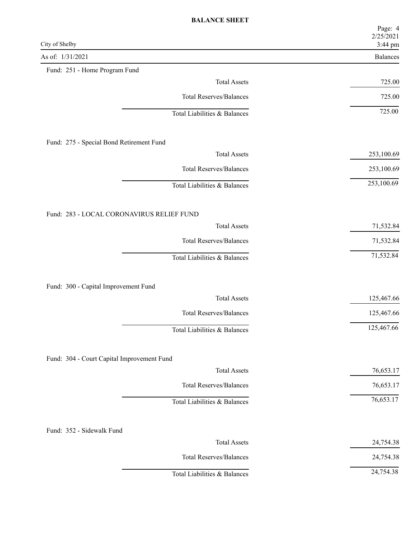| City of Shelby                             | Page: 4<br>2/25/2021<br>3:44 pm |
|--------------------------------------------|---------------------------------|
| As of: 1/31/2021                           | Balances                        |
| Fund: 251 - Home Program Fund              |                                 |
| <b>Total Assets</b>                        | 725.00                          |
| <b>Total Reserves/Balances</b>             | 725.00                          |
| Total Liabilities & Balances               | 725.00                          |
| Fund: 275 - Special Bond Retirement Fund   |                                 |
| <b>Total Assets</b>                        | 253,100.69                      |
| <b>Total Reserves/Balances</b>             | 253,100.69                      |
| Total Liabilities & Balances               | 253,100.69                      |
| Fund: 283 - LOCAL CORONAVIRUS RELIEF FUND  |                                 |
| <b>Total Assets</b>                        | 71,532.84                       |
| <b>Total Reserves/Balances</b>             | 71,532.84                       |
| Total Liabilities & Balances               | 71,532.84                       |
|                                            |                                 |
| Fund: 300 - Capital Improvement Fund       |                                 |
| <b>Total Assets</b>                        | 125,467.66                      |
| <b>Total Reserves/Balances</b>             | 125,467.66                      |
| Total Liabilities & Balances               | 125,467.66                      |
| Fund: 304 - Court Capital Improvement Fund |                                 |
| <b>Total Assets</b>                        | 76,653.17                       |
| <b>Total Reserves/Balances</b>             | 76,653.17                       |
| Total Liabilities & Balances               | 76,653.17                       |
|                                            |                                 |
| Fund: 352 - Sidewalk Fund                  |                                 |
| <b>Total Assets</b>                        | 24,754.38                       |
| <b>Total Reserves/Balances</b>             | 24,754.38                       |
| Total Liabilities & Balances               | 24,754.38                       |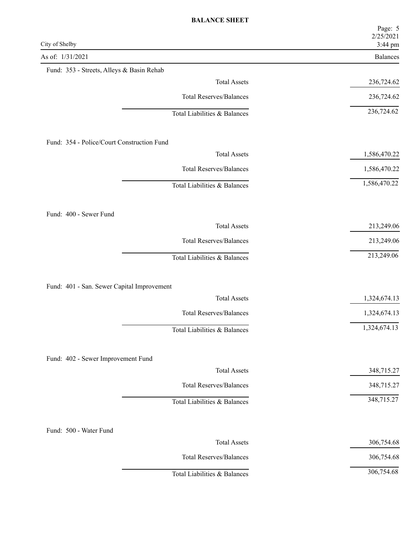| City of Shelby                             | Page: 5<br>2/25/2021<br>3:44 pm |
|--------------------------------------------|---------------------------------|
| As of: 1/31/2021                           | Balances                        |
| Fund: 353 - Streets, Alleys & Basin Rehab  |                                 |
| <b>Total Assets</b>                        | 236,724.62                      |
| <b>Total Reserves/Balances</b>             | 236,724.62                      |
| Total Liabilities & Balances               | 236,724.62                      |
| Fund: 354 - Police/Court Construction Fund |                                 |
| <b>Total Assets</b>                        | 1,586,470.22                    |
| <b>Total Reserves/Balances</b>             | 1,586,470.22                    |
| Total Liabilities & Balances               | 1,586,470.22                    |
| Fund: 400 - Sewer Fund                     |                                 |
| <b>Total Assets</b>                        | 213,249.06                      |
| <b>Total Reserves/Balances</b>             | 213,249.06                      |
| Total Liabilities & Balances               | 213,249.06                      |
|                                            |                                 |
| Fund: 401 - San. Sewer Capital Improvement |                                 |
| <b>Total Assets</b>                        | 1,324,674.13                    |
| <b>Total Reserves/Balances</b>             | 1,324,674.13                    |
| Total Liabilities & Balances               | 1,324,674.13                    |
| Fund: 402 - Sewer Improvement Fund         |                                 |
| <b>Total Assets</b>                        | 348,715.27                      |
| <b>Total Reserves/Balances</b>             | 348,715.27                      |
| Total Liabilities & Balances               | 348,715.27                      |
| Fund: 500 - Water Fund                     |                                 |
| <b>Total Assets</b>                        | 306,754.68                      |
| <b>Total Reserves/Balances</b>             | 306,754.68                      |
| Total Liabilities & Balances               | 306,754.68                      |
|                                            |                                 |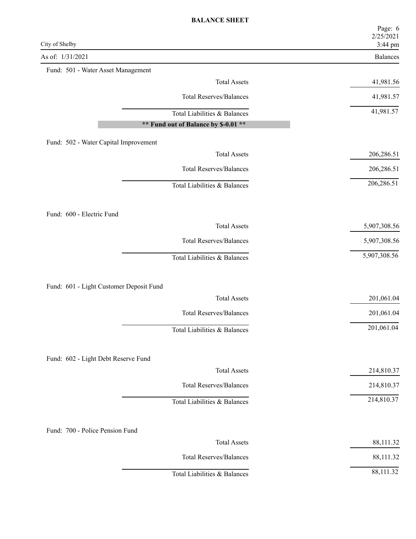| City of Shelby                          | Page: 6<br>2/25/2021<br>3:44 pm |
|-----------------------------------------|---------------------------------|
| As of: 1/31/2021                        | Balances                        |
| Fund: 501 - Water Asset Management      |                                 |
| <b>Total Assets</b>                     | 41,981.56                       |
| <b>Total Reserves/Balances</b>          | 41,981.57                       |
| Total Liabilities & Balances            | 41,981.57                       |
| ** Fund out of Balance by \$-0.01 **    |                                 |
| Fund: 502 - Water Capital Improvement   |                                 |
| <b>Total Assets</b>                     | 206,286.51                      |
| <b>Total Reserves/Balances</b>          | 206,286.51                      |
| Total Liabilities & Balances            | 206,286.51                      |
|                                         |                                 |
| Fund: 600 - Electric Fund               |                                 |
| <b>Total Assets</b>                     | 5,907,308.56                    |
| <b>Total Reserves/Balances</b>          | 5,907,308.56                    |
| Total Liabilities & Balances            | 5,907,308.56                    |
|                                         |                                 |
| Fund: 601 - Light Customer Deposit Fund |                                 |
| <b>Total Assets</b>                     | 201,061.04                      |
| <b>Total Reserves/Balances</b>          | 201,061.04                      |
| Total Liabilities & Balances            | 201,061.04                      |
|                                         |                                 |
| Fund: 602 - Light Debt Reserve Fund     |                                 |
| <b>Total Assets</b>                     | 214,810.37                      |
| <b>Total Reserves/Balances</b>          | 214,810.37                      |
| Total Liabilities & Balances            | 214,810.37                      |
|                                         |                                 |
| Fund: 700 - Police Pension Fund         |                                 |
| <b>Total Assets</b>                     | 88,111.32                       |
| <b>Total Reserves/Balances</b>          | 88,111.32                       |
| Total Liabilities & Balances            | 88,111.32                       |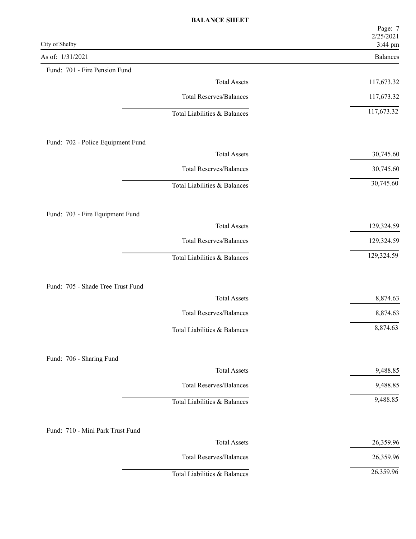| City of Shelby                                           | Page: 7<br>2/25/2021       |
|----------------------------------------------------------|----------------------------|
| As of: 1/31/2021                                         | 3:44 pm<br><b>Balances</b> |
| Fund: 701 - Fire Pension Fund                            |                            |
| <b>Total Assets</b>                                      | 117,673.32                 |
| <b>Total Reserves/Balances</b>                           | 117,673.32                 |
| Total Liabilities & Balances                             | 117,673.32                 |
| Fund: 702 - Police Equipment Fund                        |                            |
| <b>Total Assets</b>                                      | 30,745.60                  |
| <b>Total Reserves/Balances</b>                           | 30,745.60                  |
| Total Liabilities & Balances                             | 30,745.60                  |
| Fund: 703 - Fire Equipment Fund                          |                            |
| <b>Total Assets</b>                                      | 129,324.59                 |
| <b>Total Reserves/Balances</b>                           | 129,324.59                 |
| Total Liabilities & Balances                             | 129,324.59                 |
|                                                          |                            |
| Fund: 705 - Shade Tree Trust Fund<br><b>Total Assets</b> | 8,874.63                   |
| <b>Total Reserves/Balances</b>                           | 8,874.63                   |
| Total Liabilities & Balances                             | 8,874.63                   |
| Fund: 706 - Sharing Fund                                 |                            |
| <b>Total Assets</b>                                      | 9,488.85                   |
| <b>Total Reserves/Balances</b>                           | 9,488.85                   |
| Total Liabilities & Balances                             | 9,488.85                   |
| Fund: 710 - Mini Park Trust Fund                         |                            |
| <b>Total Assets</b>                                      | 26,359.96                  |
| <b>Total Reserves/Balances</b>                           | 26,359.96                  |
| Total Liabilities & Balances                             | 26,359.96                  |